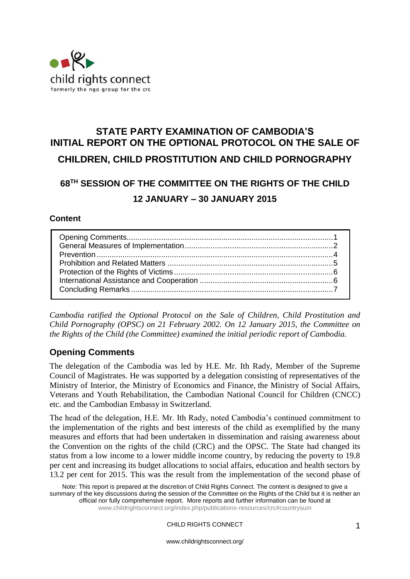

# **STATE PARTY EXAMINATION OF CAMBODIA'S INITIAL REPORT ON THE OPTIONAL PROTOCOL ON THE SALE OF CHILDREN, CHILD PROSTITUTION AND CHILD PORNOGRAPHY**

# **68TH SESSION OF THE COMMITTEE ON THE RIGHTS OF THE CHILD 12 JANUARY – 30 JANUARY 2015**

#### **Content**

*Cambodia ratified the Optional Protocol on the Sale of Children, Child Prostitution and Child Pornography (OPSC) on 21 February 2002. On 12 January 2015, the Committee on the Rights of the Child (the Committee) examined the initial periodic report of Cambodia.* 

# <span id="page-0-0"></span>**Opening Comments**

The delegation of the Cambodia was led by H.E. Mr. Ith Rady, Member of the Supreme Council of Magistrates. He was supported by a delegation consisting of representatives of the Ministry of Interior, the Ministry of Economics and Finance, the Ministry of Social Affairs, Veterans and Youth Rehabilitation, the Cambodian National Council for Children (CNCC) etc. and the Cambodian Embassy in Switzerland.

The head of the delegation, H.E. Mr. Ith Rady, noted Cambodia's continued commitment to the implementation of the rights and best interests of the child as exemplified by the many measures and efforts that had been undertaken in dissemination and raising awareness about the Convention on the rights of the child (CRC) and the OPSC. The State had changed its status from a low income to a lower middle income country, by reducing the poverty to 19.8 per cent and increasing its budget allocations to social affairs, education and health sectors by 13.2 per cent for 2015. This was the result from the implementation of the second phase of

Note: This report is prepared at the discretion of Child Rights Connect. The content is designed to give a summary of the key discussions during the session of the Committee on the Rights of the Child but it is neither an official nor fully comprehensive report. More reports and further information can be found at [www.childrightsconnect.org/index.php/publications-resources/crc#countrysum](http://www.childrightsconnect.org/index.php/publications-resources/crc#countrysum)

CHILD RIGHTS CONNECT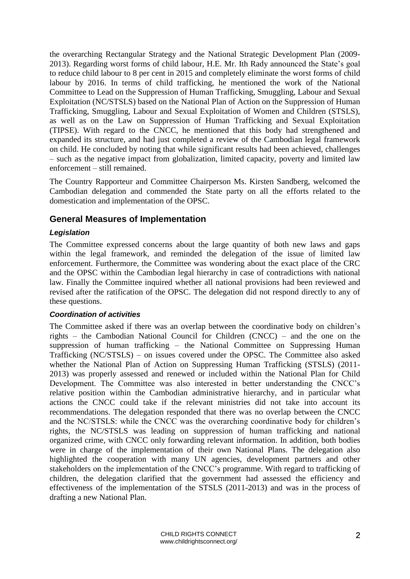the overarching Rectangular Strategy and the National Strategic Development Plan (2009- 2013). Regarding worst forms of child labour, H.E. Mr. Ith Rady announced the State's goal to reduce child labour to 8 per cent in 2015 and completely eliminate the worst forms of child labour by 2016. In terms of child trafficking, he mentioned the work of the National Committee to Lead on the Suppression of Human Trafficking, Smuggling, Labour and Sexual Exploitation (NC/STSLS) based on the National Plan of Action on the Suppression of Human Trafficking, Smuggling, Labour and Sexual Exploitation of Women and Children (STSLS), as well as on the Law on Suppression of Human Trafficking and Sexual Exploitation (TIPSE). With regard to the CNCC, he mentioned that this body had strengthened and expanded its structure, and had just completed a review of the Cambodian legal framework on child. He concluded by noting that while significant results had been achieved, challenges – such as the negative impact from globalization, limited capacity, poverty and limited law enforcement – still remained.

The Country Rapporteur and Committee Chairperson Ms. Kirsten Sandberg, welcomed the Cambodian delegation and commended the State party on all the efforts related to the domestication and implementation of the OPSC.

# <span id="page-1-0"></span>**General Measures of Implementation**

#### *Legislation*

The Committee expressed concerns about the large quantity of both new laws and gaps within the legal framework, and reminded the delegation of the issue of limited law enforcement. Furthermore, the Committee was wondering about the exact place of the CRC and the OPSC within the Cambodian legal hierarchy in case of contradictions with national law. Finally the Committee inquired whether all national provisions had been reviewed and revised after the ratification of the OPSC. The delegation did not respond directly to any of these questions.

#### *Coordination of activities*

The Committee asked if there was an overlap between the coordinative body on children's rights – the Cambodian National Council for Children (CNCC) – and the one on the suppression of human trafficking – the National Committee on Suppressing Human Trafficking (NC/STSLS) – on issues covered under the OPSC. The Committee also asked whether the National Plan of Action on Suppressing Human Trafficking (STSLS) (2011- 2013) was properly assessed and renewed or included within the National Plan for Child Development. The Committee was also interested in better understanding the CNCC's relative position within the Cambodian administrative hierarchy, and in particular what actions the CNCC could take if the relevant ministries did not take into account its recommendations. The delegation responded that there was no overlap between the CNCC and the NC/STSLS: while the CNCC was the overarching coordinative body for children's rights, the NC/STSLS was leading on suppression of human trafficking and national organized crime, with CNCC only forwarding relevant information. In addition, both bodies were in charge of the implementation of their own National Plans. The delegation also highlighted the cooperation with many UN agencies, development partners and other stakeholders on the implementation of the CNCC's programme. With regard to trafficking of children, the delegation clarified that the government had assessed the efficiency and effectiveness of the implementation of the STSLS (2011-2013) and was in the process of drafting a new National Plan.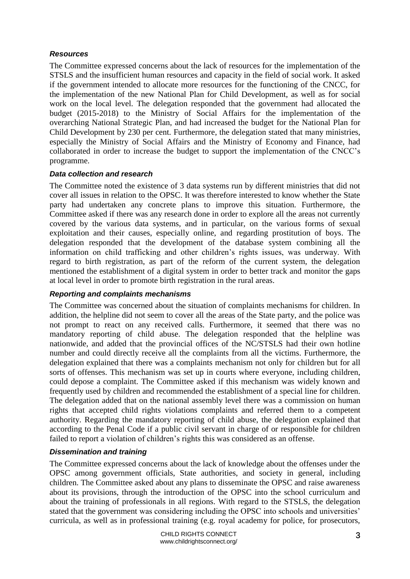### *Resources*

The Committee expressed concerns about the lack of resources for the implementation of the STSLS and the insufficient human resources and capacity in the field of social work. It asked if the government intended to allocate more resources for the functioning of the CNCC, for the implementation of the new National Plan for Child Development, as well as for social work on the local level. The delegation responded that the government had allocated the budget (2015-2018) to the Ministry of Social Affairs for the implementation of the overarching National Strategic Plan, and had increased the budget for the National Plan for Child Development by 230 per cent. Furthermore, the delegation stated that many ministries, especially the Ministry of Social Affairs and the Ministry of Economy and Finance, had collaborated in order to increase the budget to support the implementation of the CNCC's programme.

#### *Data collection and research*

The Committee noted the existence of 3 data systems run by different ministries that did not cover all issues in relation to the OPSC. It was therefore interested to know whether the State party had undertaken any concrete plans to improve this situation. Furthermore, the Committee asked if there was any research done in order to explore all the areas not currently covered by the various data systems, and in particular, on the various forms of sexual exploitation and their causes, especially online, and regarding prostitution of boys. The delegation responded that the development of the database system combining all the information on child trafficking and other children's rights issues, was underway. With regard to birth registration, as part of the reform of the current system, the delegation mentioned the establishment of a digital system in order to better track and monitor the gaps at local level in order to promote birth registration in the rural areas.

# *Reporting and complaints mechanisms*

The Committee was concerned about the situation of complaints mechanisms for children. In addition, the helpline did not seem to cover all the areas of the State party, and the police was not prompt to react on any received calls. Furthermore, it seemed that there was no mandatory reporting of child abuse. The delegation responded that the helpline was nationwide, and added that the provincial offices of the NC/STSLS had their own hotline number and could directly receive all the complaints from all the victims. Furthermore, the delegation explained that there was a complaints mechanism not only for children but for all sorts of offenses. This mechanism was set up in courts where everyone, including children, could depose a complaint. The Committee asked if this mechanism was widely known and frequently used by children and recommended the establishment of a special line for children. The delegation added that on the national assembly level there was a commission on human rights that accepted child rights violations complaints and referred them to a competent authority. Regarding the mandatory reporting of child abuse, the delegation explained that according to the Penal Code if a public civil servant in charge of or responsible for children failed to report a violation of children's rights this was considered as an offense.

# *Dissemination and training*

The Committee expressed concerns about the lack of knowledge about the offenses under the OPSC among government officials, State authorities, and society in general, including children. The Committee asked about any plans to disseminate the OPSC and raise awareness about its provisions, through the introduction of the OPSC into the school curriculum and about the training of professionals in all regions. With regard to the STSLS, the delegation stated that the government was considering including the OPSC into schools and universities' curricula, as well as in professional training (e.g. royal academy for police, for prosecutors,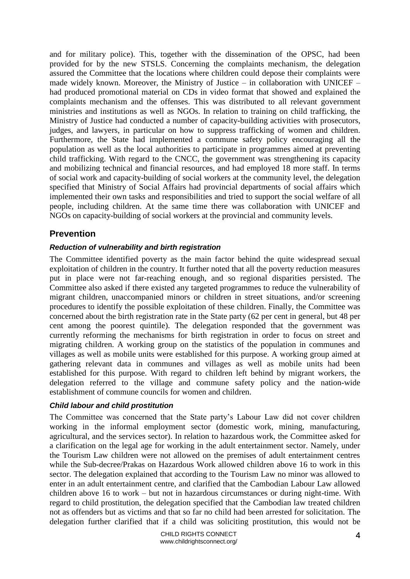and for military police). This, together with the dissemination of the OPSC, had been provided for by the new STSLS. Concerning the complaints mechanism, the delegation assured the Committee that the locations where children could depose their complaints were made widely known. Moreover, the Ministry of Justice – in collaboration with UNICEF – had produced promotional material on CDs in video format that showed and explained the complaints mechanism and the offenses. This was distributed to all relevant government ministries and institutions as well as NGOs. In relation to training on child trafficking, the Ministry of Justice had conducted a number of capacity-building activities with prosecutors, judges, and lawyers, in particular on how to suppress trafficking of women and children. Furthermore, the State had implemented a commune safety policy encouraging all the population as well as the local authorities to participate in programmes aimed at preventing child trafficking. With regard to the CNCC, the government was strengthening its capacity and mobilizing technical and financial resources, and had employed 18 more staff. In terms of social work and capacity-building of social workers at the community level, the delegation specified that Ministry of Social Affairs had provincial departments of social affairs which implemented their own tasks and responsibilities and tried to support the social welfare of all people, including children. At the same time there was collaboration with UNICEF and NGOs on capacity-building of social workers at the provincial and community levels.

# <span id="page-3-0"></span>**Prevention**

# *Reduction of vulnerability and birth registration*

The Committee identified poverty as the main factor behind the quite widespread sexual exploitation of children in the country. It further noted that all the poverty reduction measures put in place were not far-reaching enough, and so regional disparities persisted. The Committee also asked if there existed any targeted programmes to reduce the vulnerability of migrant children, unaccompanied minors or children in street situations, and/or screening procedures to identify the possible exploitation of these children. Finally, the Committee was concerned about the birth registration rate in the State party (62 per cent in general, but 48 per cent among the poorest quintile). The delegation responded that the government was currently reforming the mechanisms for birth registration in order to focus on street and migrating children. A working group on the statistics of the population in communes and villages as well as mobile units were established for this purpose. A working group aimed at gathering relevant data in communes and villages as well as mobile units had been established for this purpose. With regard to children left behind by migrant workers, the delegation referred to the village and commune safety policy and the nation-wide establishment of commune councils for women and children.

# *Child labour and child prostitution*

The Committee was concerned that the State party's Labour Law did not cover children working in the informal employment sector (domestic work, mining, manufacturing, agricultural, and the services sector). In relation to hazardous work, the Committee asked for a clarification on the legal age for working in the adult entertainment sector. Namely, under the Tourism Law children were not allowed on the premises of adult entertainment centres while the Sub-decree/Prakas on Hazardous Work allowed children above 16 to work in this sector. The delegation explained that according to the Tourism Law no minor was allowed to enter in an adult entertainment centre, and clarified that the Cambodian Labour Law allowed children above 16 to work – but not in hazardous circumstances or during night-time. With regard to child prostitution, the delegation specified that the Cambodian law treated children not as offenders but as victims and that so far no child had been arrested for solicitation. The delegation further clarified that if a child was soliciting prostitution, this would not be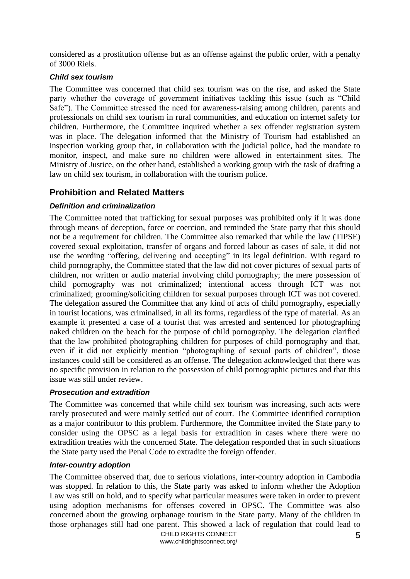considered as a prostitution offense but as an offense against the public order, with a penalty of 3000 Riels.

### *Child sex tourism*

The Committee was concerned that child sex tourism was on the rise, and asked the State party whether the coverage of government initiatives tackling this issue (such as "Child Safe"). The Committee stressed the need for awareness-raising among children, parents and professionals on child sex tourism in rural communities, and education on internet safety for children. Furthermore, the Committee inquired whether a sex offender registration system was in place. The delegation informed that the Ministry of Tourism had established an inspection working group that, in collaboration with the judicial police, had the mandate to monitor, inspect, and make sure no children were allowed in entertainment sites. The Ministry of Justice, on the other hand, established a working group with the task of drafting a law on child sex tourism, in collaboration with the tourism police.

# <span id="page-4-0"></span>**Prohibition and Related Matters**

# *Definition and criminalization*

The Committee noted that trafficking for sexual purposes was prohibited only if it was done through means of deception, force or coercion, and reminded the State party that this should not be a requirement for children. The Committee also remarked that while the law (TIPSE) covered sexual exploitation, transfer of organs and forced labour as cases of sale, it did not use the wording "offering, delivering and accepting" in its legal definition. With regard to child pornography, the Committee stated that the law did not cover pictures of sexual parts of children, nor written or audio material involving child pornography; the mere possession of child pornography was not criminalized; intentional access through ICT was not criminalized; grooming/soliciting children for sexual purposes through ICT was not covered. The delegation assured the Committee that any kind of acts of child pornography, especially in tourist locations, was criminalised, in all its forms, regardless of the type of material. As an example it presented a case of a tourist that was arrested and sentenced for photographing naked children on the beach for the purpose of child pornography. The delegation clarified that the law prohibited photographing children for purposes of child pornography and that, even if it did not explicitly mention "photographing of sexual parts of children", those instances could still be considered as an offense. The delegation acknowledged that there was no specific provision in relation to the possession of child pornographic pictures and that this issue was still under review.

# *Prosecution and extradition*

The Committee was concerned that while child sex tourism was increasing, such acts were rarely prosecuted and were mainly settled out of court. The Committee identified corruption as a major contributor to this problem. Furthermore, the Committee invited the State party to consider using the OPSC as a legal basis for extradition in cases where there were no extradition treaties with the concerned State. The delegation responded that in such situations the State party used the Penal Code to extradite the foreign offender.

# *Inter-country adoption*

The Committee observed that, due to serious violations, inter-country adoption in Cambodia was stopped. In relation to this, the State party was asked to inform whether the Adoption Law was still on hold, and to specify what particular measures were taken in order to prevent using adoption mechanisms for offenses covered in OPSC. The Committee was also concerned about the growing orphanage tourism in the State party. Many of the children in those orphanages still had one parent. This showed a lack of regulation that could lead to

> CHILD RIGHTS CONNECT www.childrightsconnect.org/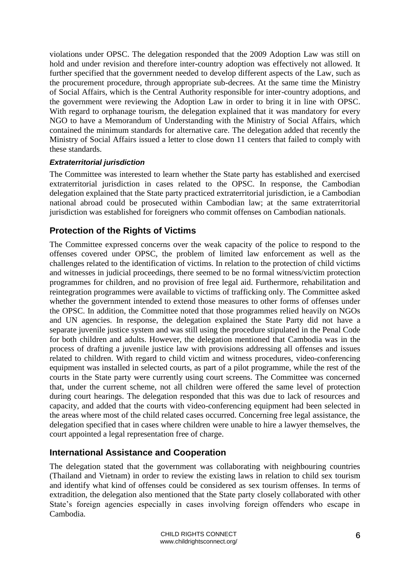violations under OPSC. The delegation responded that the 2009 Adoption Law was still on hold and under revision and therefore inter-country adoption was effectively not allowed. It further specified that the government needed to develop different aspects of the Law, such as the procurement procedure, through appropriate sub-decrees. At the same time the Ministry of Social Affairs, which is the Central Authority responsible for inter-country adoptions, and the government were reviewing the Adoption Law in order to bring it in line with OPSC. With regard to orphanage tourism, the delegation explained that it was mandatory for every NGO to have a Memorandum of Understanding with the Ministry of Social Affairs, which contained the minimum standards for alternative care. The delegation added that recently the Ministry of Social Affairs issued a letter to close down 11 centers that failed to comply with these standards.

# *Extraterritorial jurisdiction*

The Committee was interested to learn whether the State party has established and exercised extraterritorial jurisdiction in cases related to the OPSC. In response, the Cambodian delegation explained that the State party practiced extraterritorial jurisdiction, ie a Cambodian national abroad could be prosecuted within Cambodian law; at the same extraterritorial jurisdiction was established for foreigners who commit offenses on Cambodian nationals.

# <span id="page-5-0"></span>**Protection of the Rights of Victims**

The Committee expressed concerns over the weak capacity of the police to respond to the offenses covered under OPSC, the problem of limited law enforcement as well as the challenges related to the identification of victims. In relation to the protection of child victims and witnesses in judicial proceedings, there seemed to be no formal witness/victim protection programmes for children, and no provision of free legal aid. Furthermore, rehabilitation and reintegration programmes were available to victims of trafficking only. The Committee asked whether the government intended to extend those measures to other forms of offenses under the OPSC. In addition, the Committee noted that those programmes relied heavily on NGOs and UN agencies. In response, the delegation explained the State Party did not have a separate juvenile justice system and was still using the procedure stipulated in the Penal Code for both children and adults. However, the delegation mentioned that Cambodia was in the process of drafting a juvenile justice law with provisions addressing all offenses and issues related to children. With regard to child victim and witness procedures, video-conferencing equipment was installed in selected courts, as part of a pilot programme, while the rest of the courts in the State party were currently using court screens. The Committee was concerned that, under the current scheme, not all children were offered the same level of protection during court hearings. The delegation responded that this was due to lack of resources and capacity, and added that the courts with video-conferencing equipment had been selected in the areas where most of the child related cases occurred. Concerning free legal assistance, the delegation specified that in cases where children were unable to hire a lawyer themselves, the court appointed a legal representation free of charge.

# <span id="page-5-1"></span>**International Assistance and Cooperation**

The delegation stated that the government was collaborating with neighbouring countries (Thailand and Vietnam) in order to review the existing laws in relation to child sex tourism and identify what kind of offenses could be considered as sex tourism offenses. In terms of extradition, the delegation also mentioned that the State party closely collaborated with other State's foreign agencies especially in cases involving foreign offenders who escape in Cambodia.